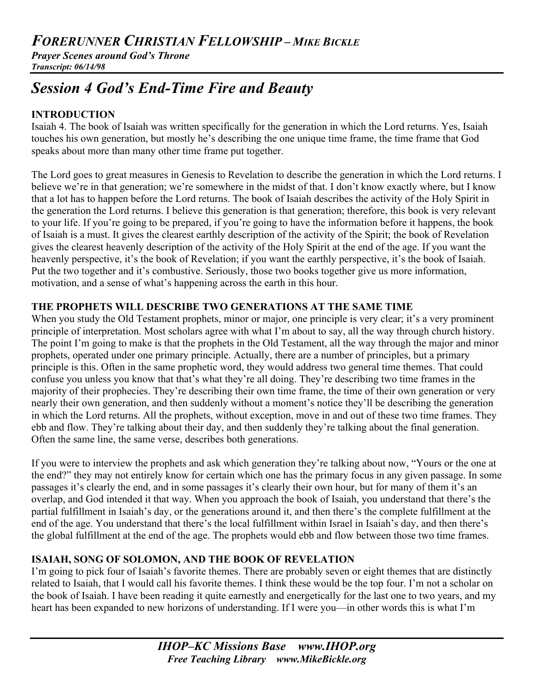*Prayer Scenes around God's Throne Transcript: 06/14/98*

# *Session 4 God's End-Time Fire and Beauty*

## **INTRODUCTION**

Isaiah 4. The book of Isaiah was written specifically for the generation in which the Lord returns. Yes, Isaiah touches his own generation, but mostly he's describing the one unique time frame, the time frame that God speaks about more than many other time frame put together.

The Lord goes to great measures in Genesis to Revelation to describe the generation in which the Lord returns. I believe we're in that generation; we're somewhere in the midst of that. I don't know exactly where, but I know that a lot has to happen before the Lord returns. The book of Isaiah describes the activity of the Holy Spirit in the generation the Lord returns. I believe this generation is that generation; therefore, this book is very relevant to your life. If you're going to be prepared, if you're going to have the information before it happens, the book of Isaiah is a must. It gives the clearest earthly description of the activity of the Spirit; the book of Revelation gives the clearest heavenly description of the activity of the Holy Spirit at the end of the age. If you want the heavenly perspective, it's the book of Revelation; if you want the earthly perspective, it's the book of Isaiah. Put the two together and it's combustive. Seriously, those two books together give us more information, motivation, and a sense of what's happening across the earth in this hour.

## **THE PROPHETS WILL DESCRIBE TWO GENERATIONS AT THE SAME TIME**

When you study the Old Testament prophets, minor or major, one principle is very clear; it's a very prominent principle of interpretation. Most scholars agree with what I'm about to say, all the way through church history. The point I'm going to make is that the prophets in the Old Testament, all the way through the major and minor prophets, operated under one primary principle. Actually, there are a number of principles, but a primary principle is this. Often in the same prophetic word, they would address two general time themes. That could confuse you unless you know that that's what they're all doing. They're describing two time frames in the majority of their prophecies. They're describing their own time frame, the time of their own generation or very nearly their own generation, and then suddenly without a moment's notice they'll be describing the generation in which the Lord returns. All the prophets, without exception, move in and out of these two time frames. They ebb and flow. They're talking about their day, and then suddenly they're talking about the final generation. Often the same line, the same verse, describes both generations.

If you were to interview the prophets and ask which generation they're talking about now, "Yours or the one at the end?" they may not entirely know for certain which one has the primary focus in any given passage. In some passages it's clearly the end, and in some passages it's clearly their own hour, but for many of them it's an overlap, and God intended it that way. When you approach the book of Isaiah, you understand that there's the partial fulfillment in Isaiah's day, or the generations around it, and then there's the complete fulfillment at the end of the age. You understand that there's the local fulfillment within Israel in Isaiah's day, and then there's the global fulfillment at the end of the age. The prophets would ebb and flow between those two time frames.

# **ISAIAH, SONG OF SOLOMON, AND THE BOOK OF REVELATION**

I'm going to pick four of Isaiah's favorite themes. There are probably seven or eight themes that are distinctly related to Isaiah, that I would call his favorite themes. I think these would be the top four. I'm not a scholar on the book of Isaiah. I have been reading it quite earnestly and energetically for the last one to two years, and my heart has been expanded to new horizons of understanding. If I were you—in other words this is what I'm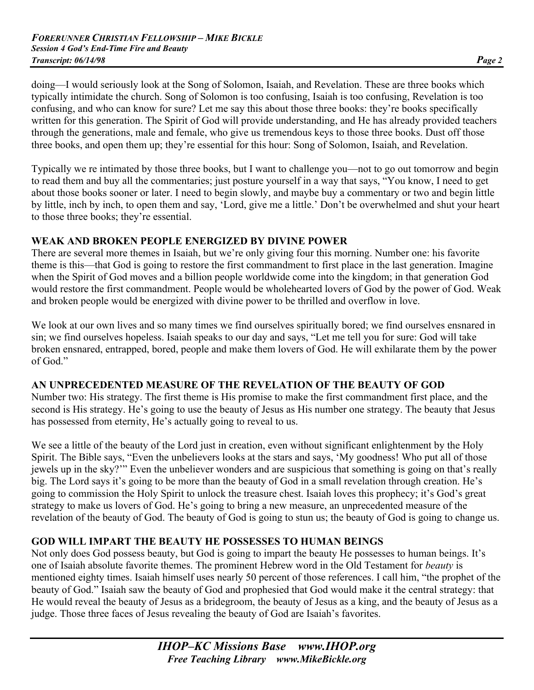doing—I would seriously look at the Song of Solomon, Isaiah, and Revelation. These are three books which typically intimidate the church. Song of Solomon is too confusing, Isaiah is too confusing, Revelation is too confusing, and who can know for sure? Let me say this about those three books: they're books specifically written for this generation. The Spirit of God will provide understanding, and He has already provided teachers through the generations, male and female, who give us tremendous keys to those three books. Dust off those three books, and open them up; they're essential for this hour: Song of Solomon, Isaiah, and Revelation.

Typically we re intimated by those three books, but I want to challenge you—not to go out tomorrow and begin to read them and buy all the commentaries; just posture yourself in a way that says, "You know, I need to get about those books sooner or later. I need to begin slowly, and maybe buy a commentary or two and begin little by little, inch by inch, to open them and say, 'Lord, give me a little.' Don't be overwhelmed and shut your heart to those three books; they're essential.

## **WEAK AND BROKEN PEOPLE ENERGIZED BY DIVINE POWER**

There are several more themes in Isaiah, but we're only giving four this morning. Number one: his favorite theme is this—that God is going to restore the first commandment to first place in the last generation. Imagine when the Spirit of God moves and a billion people worldwide come into the kingdom; in that generation God would restore the first commandment. People would be wholehearted lovers of God by the power of God. Weak and broken people would be energized with divine power to be thrilled and overflow in love.

We look at our own lives and so many times we find ourselves spiritually bored; we find ourselves ensnared in sin; we find ourselves hopeless. Isaiah speaks to our day and says, "Let me tell you for sure: God will take broken ensnared, entrapped, bored, people and make them lovers of God. He will exhilarate them by the power of God."

## **AN UNPRECEDENTED MEASURE OF THE REVELATION OF THE BEAUTY OF GOD**

Number two: His strategy. The first theme is His promise to make the first commandment first place, and the second is His strategy. He's going to use the beauty of Jesus as His number one strategy. The beauty that Jesus has possessed from eternity, He's actually going to reveal to us.

We see a little of the beauty of the Lord just in creation, even without significant enlightenment by the Holy Spirit. The Bible says, "Even the unbelievers looks at the stars and says, 'My goodness! Who put all of those jewels up in the sky?'" Even the unbeliever wonders and are suspicious that something is going on that's really big. The Lord says it's going to be more than the beauty of God in a small revelation through creation. He's going to commission the Holy Spirit to unlock the treasure chest. Isaiah loves this prophecy; it's God's great strategy to make us lovers of God. He's going to bring a new measure, an unprecedented measure of the revelation of the beauty of God. The beauty of God is going to stun us; the beauty of God is going to change us.

# **GOD WILL IMPART THE BEAUTY HE POSSESSES TO HUMAN BEINGS**

Not only does God possess beauty, but God is going to impart the beauty He possesses to human beings. It's one of Isaiah absolute favorite themes. The prominent Hebrew word in the Old Testament for *beauty* is mentioned eighty times. Isaiah himself uses nearly 50 percent of those references. I call him, "the prophet of the beauty of God." Isaiah saw the beauty of God and prophesied that God would make it the central strategy: that He would reveal the beauty of Jesus as a bridegroom, the beauty of Jesus as a king, and the beauty of Jesus as a judge. Those three faces of Jesus revealing the beauty of God are Isaiah's favorites.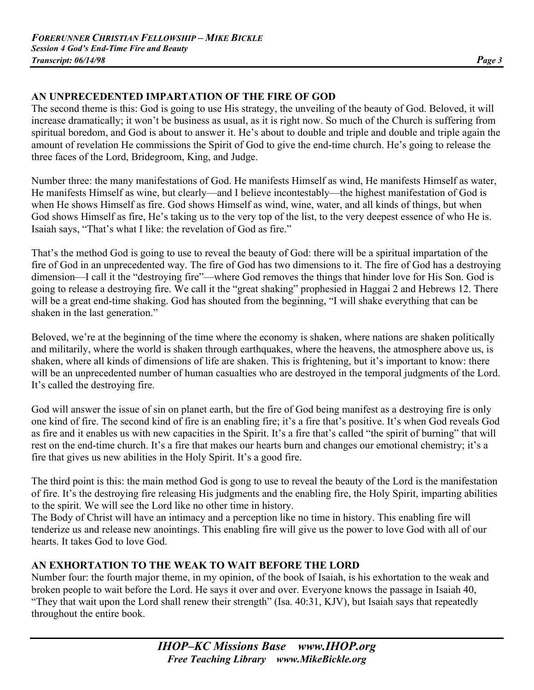## **AN UNPRECEDENTED IMPARTATION OF THE FIRE OF GOD**

The second theme is this: God is going to use His strategy, the unveiling of the beauty of God. Beloved, it will increase dramatically; it won't be business as usual, as it is right now. So much of the Church is suffering from spiritual boredom, and God is about to answer it. He's about to double and triple and double and triple again the amount of revelation He commissions the Spirit of God to give the end-time church. He's going to release the three faces of the Lord, Bridegroom, King, and Judge.

Number three: the many manifestations of God. He manifests Himself as wind, He manifests Himself as water, He manifests Himself as wine, but clearly—and I believe incontestably—the highest manifestation of God is when He shows Himself as fire. God shows Himself as wind, wine, water, and all kinds of things, but when God shows Himself as fire, He's taking us to the very top of the list, to the very deepest essence of who He is. Isaiah says, "That's what I like: the revelation of God as fire."

That's the method God is going to use to reveal the beauty of God: there will be a spiritual impartation of the fire of God in an unprecedented way. The fire of God has two dimensions to it. The fire of God has a destroying dimension—I call it the "destroying fire"—where God removes the things that hinder love for His Son. God is going to release a destroying fire. We call it the "great shaking" prophesied in Haggai 2 and Hebrews 12. There will be a great end-time shaking. God has shouted from the beginning, "I will shake everything that can be shaken in the last generation."

Beloved, we're at the beginning of the time where the economy is shaken, where nations are shaken politically and militarily, where the world is shaken through earthquakes, where the heavens, the atmosphere above us, is shaken, where all kinds of dimensions of life are shaken. This is frightening, but it's important to know: there will be an unprecedented number of human casualties who are destroyed in the temporal judgments of the Lord. It's called the destroying fire.

God will answer the issue of sin on planet earth, but the fire of God being manifest as a destroying fire is only one kind of fire. The second kind of fire is an enabling fire; it's a fire that's positive. It's when God reveals God as fire and it enables us with new capacities in the Spirit. It's a fire that's called "the spirit of burning" that will rest on the end-time church. It's a fire that makes our hearts burn and changes our emotional chemistry; it's a fire that gives us new abilities in the Holy Spirit. It's a good fire.

The third point is this: the main method God is gong to use to reveal the beauty of the Lord is the manifestation of fire. It's the destroying fire releasing His judgments and the enabling fire, the Holy Spirit, imparting abilities to the spirit. We will see the Lord like no other time in history.

The Body of Christ will have an intimacy and a perception like no time in history. This enabling fire will tenderize us and release new anointings. This enabling fire will give us the power to love God with all of our hearts. It takes God to love God.

# **AN EXHORTATION TO THE WEAK TO WAIT BEFORE THE LORD**

Number four: the fourth major theme, in my opinion, of the book of Isaiah, is his exhortation to the weak and broken people to wait before the Lord. He says it over and over. Everyone knows the passage in Isaiah 40, "They that wait upon the Lord shall renew their strength" (Isa. 40:31, KJV), but Isaiah says that repeatedly throughout the entire book.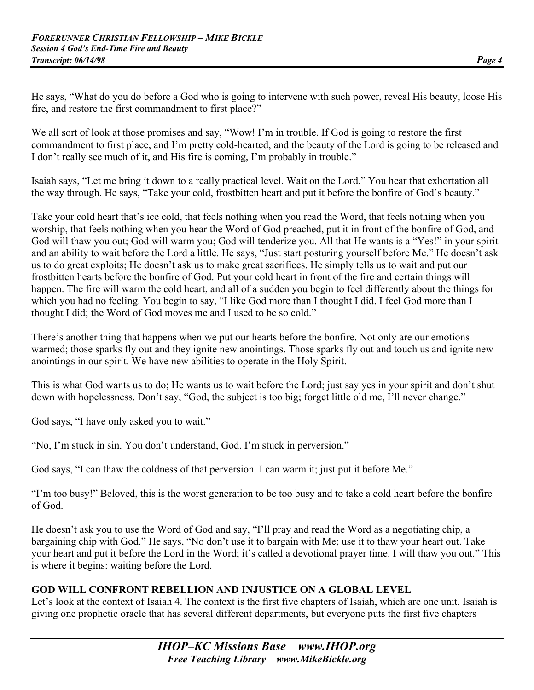He says, "What do you do before a God who is going to intervene with such power, reveal His beauty, loose His fire, and restore the first commandment to first place?"

We all sort of look at those promises and say, "Wow! I'm in trouble. If God is going to restore the first commandment to first place, and I'm pretty cold-hearted, and the beauty of the Lord is going to be released and I don't really see much of it, and His fire is coming, I'm probably in trouble."

Isaiah says, "Let me bring it down to a really practical level. Wait on the Lord." You hear that exhortation all the way through. He says, "Take your cold, frostbitten heart and put it before the bonfire of God's beauty."

Take your cold heart that's ice cold, that feels nothing when you read the Word, that feels nothing when you worship, that feels nothing when you hear the Word of God preached, put it in front of the bonfire of God, and God will thaw you out; God will warm you; God will tenderize you. All that He wants is a "Yes!" in your spirit and an ability to wait before the Lord a little. He says, "Just start posturing yourself before Me." He doesn't ask us to do great exploits; He doesn't ask us to make great sacrifices. He simply tells us to wait and put our frostbitten hearts before the bonfire of God. Put your cold heart in front of the fire and certain things will happen. The fire will warm the cold heart, and all of a sudden you begin to feel differently about the things for which you had no feeling. You begin to say, "I like God more than I thought I did. I feel God more than I thought I did; the Word of God moves me and I used to be so cold."

There's another thing that happens when we put our hearts before the bonfire. Not only are our emotions warmed; those sparks fly out and they ignite new anointings. Those sparks fly out and touch us and ignite new anointings in our spirit. We have new abilities to operate in the Holy Spirit.

This is what God wants us to do; He wants us to wait before the Lord; just say yes in your spirit and don't shut down with hopelessness. Don't say, "God, the subject is too big; forget little old me, I'll never change."

God says, "I have only asked you to wait."

"No, I'm stuck in sin. You don't understand, God. I'm stuck in perversion."

God says, "I can thaw the coldness of that perversion. I can warm it; just put it before Me."

"I'm too busy!" Beloved, this is the worst generation to be too busy and to take a cold heart before the bonfire of God.

He doesn't ask you to use the Word of God and say, "I'll pray and read the Word as a negotiating chip, a bargaining chip with God." He says, "No don't use it to bargain with Me; use it to thaw your heart out. Take your heart and put it before the Lord in the Word; it's called a devotional prayer time. I will thaw you out." This is where it begins: waiting before the Lord.

## **GOD WILL CONFRONT REBELLION AND INJUSTICE ON A GLOBAL LEVEL**

Let's look at the context of Isaiah 4. The context is the first five chapters of Isaiah, which are one unit. Isaiah is giving one prophetic oracle that has several different departments, but everyone puts the first five chapters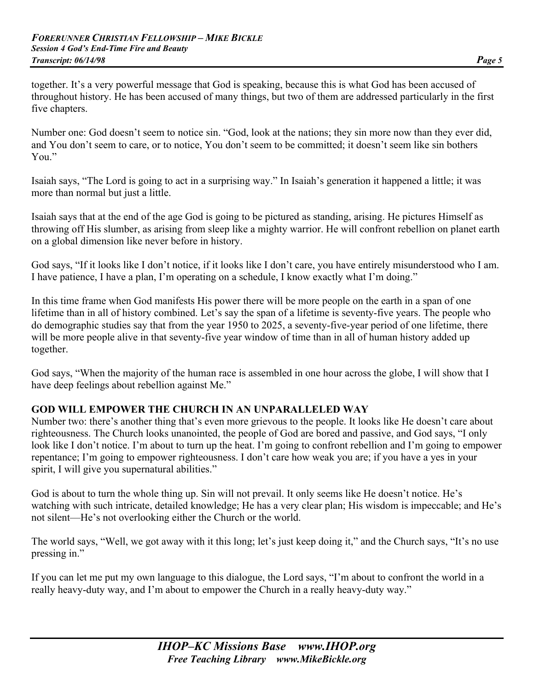together. It's a very powerful message that God is speaking, because this is what God has been accused of throughout history. He has been accused of many things, but two of them are addressed particularly in the first five chapters.

Number one: God doesn't seem to notice sin. "God, look at the nations; they sin more now than they ever did, and You don't seem to care, or to notice, You don't seem to be committed; it doesn't seem like sin bothers You"

Isaiah says, "The Lord is going to act in a surprising way." In Isaiah's generation it happened a little; it was more than normal but just a little.

Isaiah says that at the end of the age God is going to be pictured as standing, arising. He pictures Himself as throwing off His slumber, as arising from sleep like a mighty warrior. He will confront rebellion on planet earth on a global dimension like never before in history.

God says, "If it looks like I don't notice, if it looks like I don't care, you have entirely misunderstood who I am. I have patience, I have a plan, I'm operating on a schedule, I know exactly what I'm doing."

In this time frame when God manifests His power there will be more people on the earth in a span of one lifetime than in all of history combined. Let's say the span of a lifetime is seventy-five years. The people who do demographic studies say that from the year 1950 to 2025, a seventy-five-year period of one lifetime, there will be more people alive in that seventy-five year window of time than in all of human history added up together.

God says, "When the majority of the human race is assembled in one hour across the globe, I will show that I have deep feelings about rebellion against Me."

## **GOD WILL EMPOWER THE CHURCH IN AN UNPARALLELED WAY**

Number two: there's another thing that's even more grievous to the people. It looks like He doesn't care about righteousness. The Church looks unanointed, the people of God are bored and passive, and God says, "I only look like I don't notice. I'm about to turn up the heat. I'm going to confront rebellion and I'm going to empower repentance; I'm going to empower righteousness. I don't care how weak you are; if you have a yes in your spirit, I will give you supernatural abilities."

God is about to turn the whole thing up. Sin will not prevail. It only seems like He doesn't notice. He's watching with such intricate, detailed knowledge; He has a very clear plan; His wisdom is impeccable; and He's not silent—He's not overlooking either the Church or the world.

The world says, "Well, we got away with it this long; let's just keep doing it," and the Church says, "It's no use pressing in."

If you can let me put my own language to this dialogue, the Lord says, "I'm about to confront the world in a really heavy-duty way, and I'm about to empower the Church in a really heavy-duty way."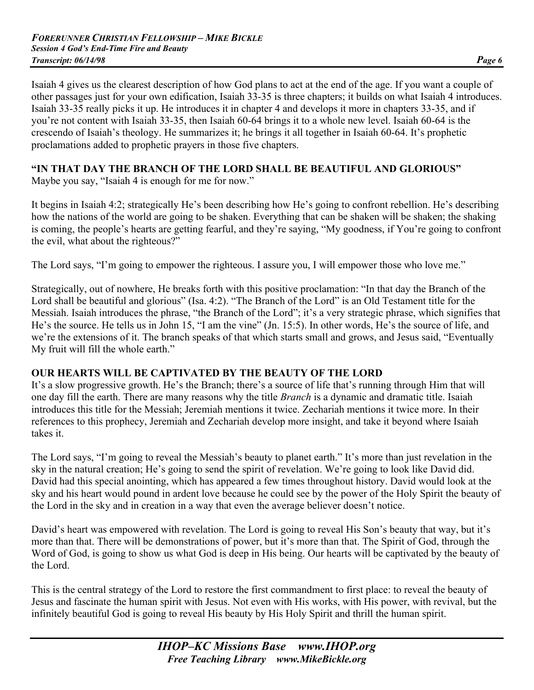Isaiah 4 gives us the clearest description of how God plans to act at the end of the age. If you want a couple of other passages just for your own edification, Isaiah 33-35 is three chapters; it builds on what Isaiah 4 introduces. Isaiah 33-35 really picks it up. He introduces it in chapter 4 and develops it more in chapters 33-35, and if you're not content with Isaiah 33-35, then Isaiah 60-64 brings it to a whole new level. Isaiah 60-64 is the crescendo of Isaiah's theology. He summarizes it; he brings it all together in Isaiah 60-64. It's prophetic proclamations added to prophetic prayers in those five chapters.

# **"IN THAT DAY THE BRANCH OF THE LORD SHALL BE BEAUTIFUL AND GLORIOUS"**

Maybe you say, "Isaiah 4 is enough for me for now."

It begins in Isaiah 4:2; strategically He's been describing how He's going to confront rebellion. He's describing how the nations of the world are going to be shaken. Everything that can be shaken will be shaken; the shaking is coming, the people's hearts are getting fearful, and they're saying, "My goodness, if You're going to confront the evil, what about the righteous?"

The Lord says, "I'm going to empower the righteous. I assure you, I will empower those who love me."

Strategically, out of nowhere, He breaks forth with this positive proclamation: "In that day the Branch of the Lord shall be beautiful and glorious" (Isa. 4:2). "The Branch of the Lord" is an Old Testament title for the Messiah. Isaiah introduces the phrase, "the Branch of the Lord"; it's a very strategic phrase, which signifies that He's the source. He tells us in John 15, "I am the vine" (Jn. 15:5). In other words, He's the source of life, and we're the extensions of it. The branch speaks of that which starts small and grows, and Jesus said, "Eventually My fruit will fill the whole earth."

## **OUR HEARTS WILL BE CAPTIVATED BY THE BEAUTY OF THE LORD**

It's a slow progressive growth. He's the Branch; there's a source of life that's running through Him that will one day fill the earth. There are many reasons why the title *Branch* is a dynamic and dramatic title. Isaiah introduces this title for the Messiah; Jeremiah mentions it twice. Zechariah mentions it twice more. In their references to this prophecy, Jeremiah and Zechariah develop more insight, and take it beyond where Isaiah takes it.

The Lord says, "I'm going to reveal the Messiah's beauty to planet earth." It's more than just revelation in the sky in the natural creation; He's going to send the spirit of revelation. We're going to look like David did. David had this special anointing, which has appeared a few times throughout history. David would look at the sky and his heart would pound in ardent love because he could see by the power of the Holy Spirit the beauty of the Lord in the sky and in creation in a way that even the average believer doesn't notice.

David's heart was empowered with revelation. The Lord is going to reveal His Son's beauty that way, but it's more than that. There will be demonstrations of power, but it's more than that. The Spirit of God, through the Word of God, is going to show us what God is deep in His being. Our hearts will be captivated by the beauty of the Lord.

This is the central strategy of the Lord to restore the first commandment to first place: to reveal the beauty of Jesus and fascinate the human spirit with Jesus. Not even with His works, with His power, with revival, but the infinitely beautiful God is going to reveal His beauty by His Holy Spirit and thrill the human spirit.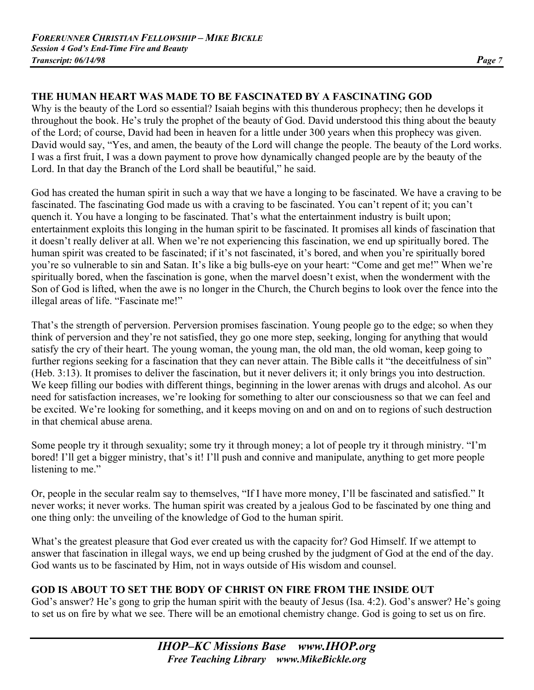# **THE HUMAN HEART WAS MADE TO BE FASCINATED BY A FASCINATING GOD**

Why is the beauty of the Lord so essential? Isaiah begins with this thunderous prophecy; then he develops it throughout the book. He's truly the prophet of the beauty of God. David understood this thing about the beauty of the Lord; of course, David had been in heaven for a little under 300 years when this prophecy was given. David would say, "Yes, and amen, the beauty of the Lord will change the people. The beauty of the Lord works. I was a first fruit, I was a down payment to prove how dynamically changed people are by the beauty of the Lord. In that day the Branch of the Lord shall be beautiful," he said.

God has created the human spirit in such a way that we have a longing to be fascinated. We have a craving to be fascinated. The fascinating God made us with a craving to be fascinated. You can't repent of it; you can't quench it. You have a longing to be fascinated. That's what the entertainment industry is built upon; entertainment exploits this longing in the human spirit to be fascinated. It promises all kinds of fascination that it doesn't really deliver at all. When we're not experiencing this fascination, we end up spiritually bored. The human spirit was created to be fascinated; if it's not fascinated, it's bored, and when you're spiritually bored you're so vulnerable to sin and Satan. It's like a big bulls-eye on your heart: "Come and get me!" When we're spiritually bored, when the fascination is gone, when the marvel doesn't exist, when the wonderment with the Son of God is lifted, when the awe is no longer in the Church, the Church begins to look over the fence into the illegal areas of life. "Fascinate me!"

That's the strength of perversion. Perversion promises fascination. Young people go to the edge; so when they think of perversion and they're not satisfied, they go one more step, seeking, longing for anything that would satisfy the cry of their heart. The young woman, the young man, the old man, the old woman, keep going to further regions seeking for a fascination that they can never attain. The Bible calls it "the deceitfulness of sin" (Heb. 3:13). It promises to deliver the fascination, but it never delivers it; it only brings you into destruction. We keep filling our bodies with different things, beginning in the lower arenas with drugs and alcohol. As our need for satisfaction increases, we're looking for something to alter our consciousness so that we can feel and be excited. We're looking for something, and it keeps moving on and on and on to regions of such destruction in that chemical abuse arena.

Some people try it through sexuality; some try it through money; a lot of people try it through ministry. "I'm bored! I'll get a bigger ministry, that's it! I'll push and connive and manipulate, anything to get more people listening to me."

Or, people in the secular realm say to themselves, "If I have more money, I'll be fascinated and satisfied." It never works; it never works. The human spirit was created by a jealous God to be fascinated by one thing and one thing only: the unveiling of the knowledge of God to the human spirit.

What's the greatest pleasure that God ever created us with the capacity for? God Himself. If we attempt to answer that fascination in illegal ways, we end up being crushed by the judgment of God at the end of the day. God wants us to be fascinated by Him, not in ways outside of His wisdom and counsel.

## **GOD IS ABOUT TO SET THE BODY OF CHRIST ON FIRE FROM THE INSIDE OUT**

God's answer? He's gong to grip the human spirit with the beauty of Jesus (Isa. 4:2). God's answer? He's going to set us on fire by what we see. There will be an emotional chemistry change. God is going to set us on fire.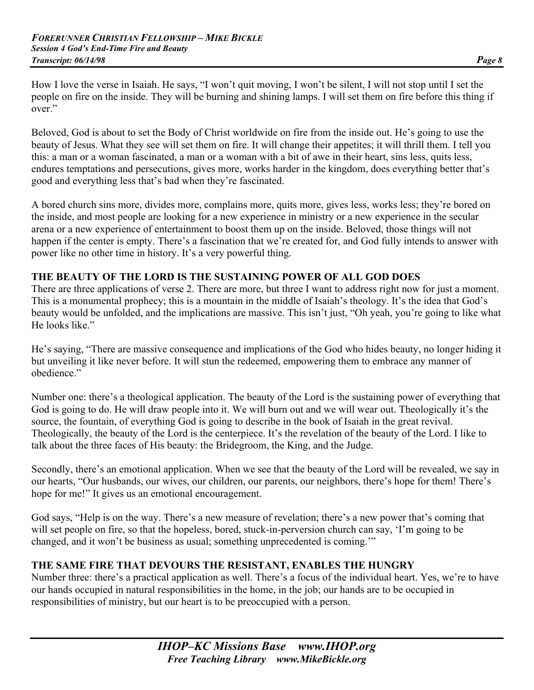How I love the verse in Isaiah. He says, "I won't quit moving, I won't be silent, I will not stop until I set the people on fire on the inside. They will be burning and shining lamps. I will set them on fire before this thing if over."

Beloved, God is about to set the Body of Christ worldwide on fire from the inside out. He's going to use the beauty of Jesus. What they see will set them on fire. It will change their appetites; it will thrill them. I tell you this: a man or a woman fascinated, a man or a woman with a bit of awe in their heart, sins less, quits less, endures temptations and persecutions, gives more, works harder in the kingdom, does everything better that's good and everything less that's bad when they're fascinated.

A bored church sins more, divides more, complains more, quits more, gives less, works less; they're bored on the inside, and most people are looking for a new experience in ministry or a new experience in the secular arena or a new experience of entertainment to boost them up on the inside. Beloved, those things will not happen if the center is empty. There's a fascination that we're created for, and God fully intends to answer with power like no other time in history. It's a very powerful thing.

## **THE BEAUTY OF THE LORD IS THE SUSTAINING POWER OF ALL GOD DOES**

There are three applications of verse 2. There are more, but three I want to address right now for just a moment. This is a monumental prophecy; this is a mountain in the middle of Isaiah's theology. It's the idea that God's beauty would be unfolded, and the implications are massive. This isn't just, "Oh yeah, you're going to like what He looks like."

He's saying, "There are massive consequence and implications of the God who hides beauty, no longer hiding it but unveiling it like never before. It will stun the redeemed, empowering them to embrace any manner of obedience."

Number one: there's a theological application. The beauty of the Lord is the sustaining power of everything that God is going to do. He will draw people into it. We will burn out and we will wear out. Theologically it's the source, the fountain, of everything God is going to describe in the book of Isaiah in the great revival. Theologically, the beauty of the Lord is the centerpiece. It's the revelation of the beauty of the Lord. I like to talk about the three faces of His beauty: the Bridegroom, the King, and the Judge.

Secondly, there's an emotional application. When we see that the beauty of the Lord will be revealed, we say in our hearts, "Our husbands, our wives, our children, our parents, our neighbors, there's hope for them! There's hope for me!" It gives us an emotional encouragement.

God says, "Help is on the way. There's a new measure of revelation; there's a new power that's coming that will set people on fire, so that the hopeless, bored, stuck-in-perversion church can say, 'I'm going to be changed, and it won't be business as usual; something unprecedented is coming.'"

#### **THE SAME FIRE THAT DEVOURS THE RESISTANT, ENABLES THE HUNGRY**

Number three: there's a practical application as well. There's a focus of the individual heart. Yes, we're to have our hands occupied in natural responsibilities in the home, in the job; our hands are to be occupied in responsibilities of ministry, but our heart is to be preoccupied with a person.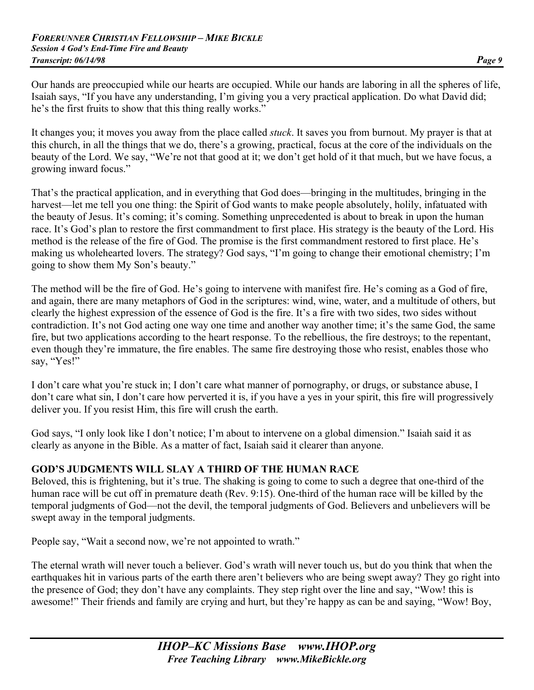Our hands are preoccupied while our hearts are occupied. While our hands are laboring in all the spheres of life, Isaiah says, "If you have any understanding, I'm giving you a very practical application. Do what David did; he's the first fruits to show that this thing really works."

It changes you; it moves you away from the place called *stuck*. It saves you from burnout. My prayer is that at this church, in all the things that we do, there's a growing, practical, focus at the core of the individuals on the beauty of the Lord. We say, "We're not that good at it; we don't get hold of it that much, but we have focus, a growing inward focus."

That's the practical application, and in everything that God does—bringing in the multitudes, bringing in the harvest—let me tell you one thing: the Spirit of God wants to make people absolutely, holily, infatuated with the beauty of Jesus. It's coming; it's coming. Something unprecedented is about to break in upon the human race. It's God's plan to restore the first commandment to first place. His strategy is the beauty of the Lord. His method is the release of the fire of God. The promise is the first commandment restored to first place. He's making us wholehearted lovers. The strategy? God says, "I'm going to change their emotional chemistry; I'm going to show them My Son's beauty."

The method will be the fire of God. He's going to intervene with manifest fire. He's coming as a God of fire, and again, there are many metaphors of God in the scriptures: wind, wine, water, and a multitude of others, but clearly the highest expression of the essence of God is the fire. It's a fire with two sides, two sides without contradiction. It's not God acting one way one time and another way another time; it's the same God, the same fire, but two applications according to the heart response. To the rebellious, the fire destroys; to the repentant, even though they're immature, the fire enables. The same fire destroying those who resist, enables those who say, "Yes!"

I don't care what you're stuck in; I don't care what manner of pornography, or drugs, or substance abuse, I don't care what sin, I don't care how perverted it is, if you have a yes in your spirit, this fire will progressively deliver you. If you resist Him, this fire will crush the earth.

God says, "I only look like I don't notice; I'm about to intervene on a global dimension." Isaiah said it as clearly as anyone in the Bible. As a matter of fact, Isaiah said it clearer than anyone.

## **GOD'S JUDGMENTS WILL SLAY A THIRD OF THE HUMAN RACE**

Beloved, this is frightening, but it's true. The shaking is going to come to such a degree that one-third of the human race will be cut off in premature death (Rev. 9:15). One-third of the human race will be killed by the temporal judgments of God—not the devil, the temporal judgments of God. Believers and unbelievers will be swept away in the temporal judgments.

People say, "Wait a second now, we're not appointed to wrath."

The eternal wrath will never touch a believer. God's wrath will never touch us, but do you think that when the earthquakes hit in various parts of the earth there aren't believers who are being swept away? They go right into the presence of God; they don't have any complaints. They step right over the line and say, "Wow! this is awesome!" Their friends and family are crying and hurt, but they're happy as can be and saying, "Wow! Boy,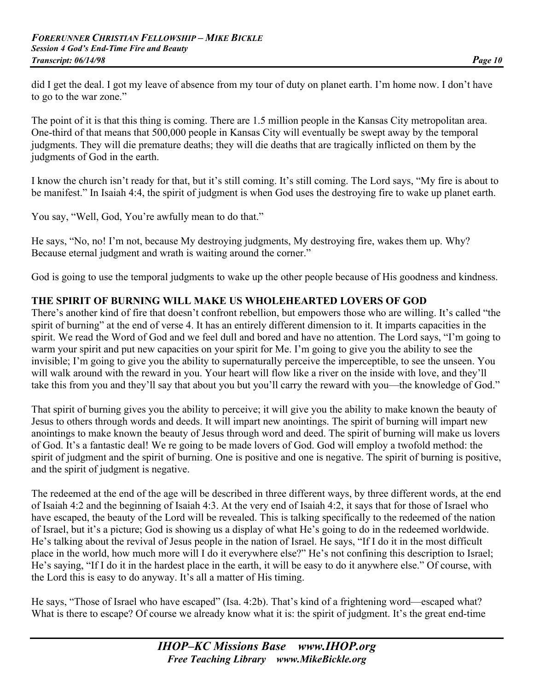did I get the deal. I got my leave of absence from my tour of duty on planet earth. I'm home now. I don't have to go to the war zone."

The point of it is that this thing is coming. There are 1.5 million people in the Kansas City metropolitan area. One-third of that means that 500,000 people in Kansas City will eventually be swept away by the temporal judgments. They will die premature deaths; they will die deaths that are tragically inflicted on them by the judgments of God in the earth.

I know the church isn't ready for that, but it's still coming. It's still coming. The Lord says, "My fire is about to be manifest." In Isaiah 4:4, the spirit of judgment is when God uses the destroying fire to wake up planet earth.

You say, "Well, God, You're awfully mean to do that."

He says, "No, no! I'm not, because My destroying judgments, My destroying fire, wakes them up. Why? Because eternal judgment and wrath is waiting around the corner."

God is going to use the temporal judgments to wake up the other people because of His goodness and kindness.

## **THE SPIRIT OF BURNING WILL MAKE US WHOLEHEARTED LOVERS OF GOD**

There's another kind of fire that doesn't confront rebellion, but empowers those who are willing. It's called "the spirit of burning" at the end of verse 4. It has an entirely different dimension to it. It imparts capacities in the spirit. We read the Word of God and we feel dull and bored and have no attention. The Lord says, "I'm going to warm your spirit and put new capacities on your spirit for Me. I'm going to give you the ability to see the invisible; I'm going to give you the ability to supernaturally perceive the imperceptible, to see the unseen. You will walk around with the reward in you. Your heart will flow like a river on the inside with love, and they'll take this from you and they'll say that about you but you'll carry the reward with you—the knowledge of God."

That spirit of burning gives you the ability to perceive; it will give you the ability to make known the beauty of Jesus to others through words and deeds. It will impart new anointings. The spirit of burning will impart new anointings to make known the beauty of Jesus through word and deed. The spirit of burning will make us lovers of God. It's a fantastic deal! We re going to be made lovers of God. God will employ a twofold method: the spirit of judgment and the spirit of burning. One is positive and one is negative. The spirit of burning is positive, and the spirit of judgment is negative.

The redeemed at the end of the age will be described in three different ways, by three different words, at the end of Isaiah 4:2 and the beginning of Isaiah 4:3. At the very end of Isaiah 4:2, it says that for those of Israel who have escaped, the beauty of the Lord will be revealed. This is talking specifically to the redeemed of the nation of Israel, but it's a picture; God is showing us a display of what He's going to do in the redeemed worldwide. He's talking about the revival of Jesus people in the nation of Israel. He says, "If I do it in the most difficult place in the world, how much more will I do it everywhere else?" He's not confining this description to Israel; He's saying, "If I do it in the hardest place in the earth, it will be easy to do it anywhere else." Of course, with the Lord this is easy to do anyway. It's all a matter of His timing.

He says, "Those of Israel who have escaped" (Isa. 4:2b). That's kind of a frightening word—escaped what? What is there to escape? Of course we already know what it is: the spirit of judgment. It's the great end-time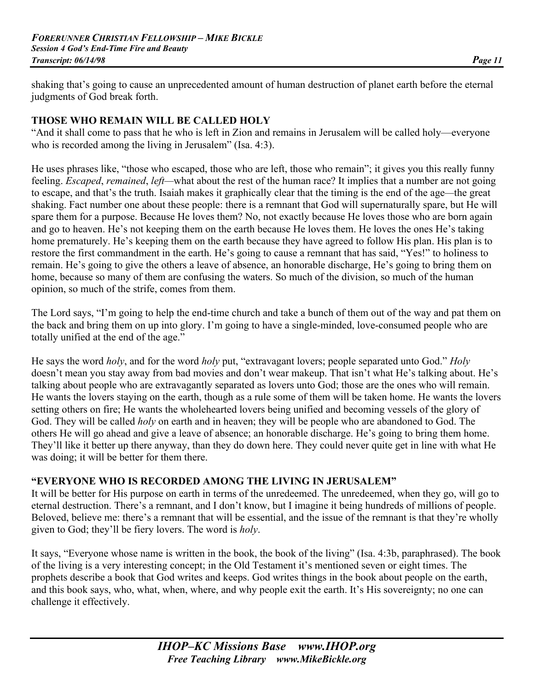shaking that's going to cause an unprecedented amount of human destruction of planet earth before the eternal judgments of God break forth.

#### **THOSE WHO REMAIN WILL BE CALLED HOLY**

"And it shall come to pass that he who is left in Zion and remains in Jerusalem will be called holy—everyone who is recorded among the living in Jerusalem" (Isa. 4:3).

He uses phrases like, "those who escaped, those who are left, those who remain"; it gives you this really funny feeling. *Escaped*, *remained*, *left—*what about the rest of the human race? It implies that a number are not going to escape, and that's the truth. Isaiah makes it graphically clear that the timing is the end of the age*—*the great shaking. Fact number one about these people: there is a remnant that God will supernaturally spare, but He will spare them for a purpose. Because He loves them? No, not exactly because He loves those who are born again and go to heaven. He's not keeping them on the earth because He loves them. He loves the ones He's taking home prematurely. He's keeping them on the earth because they have agreed to follow His plan. His plan is to restore the first commandment in the earth. He's going to cause a remnant that has said, "Yes!" to holiness to remain. He's going to give the others a leave of absence, an honorable discharge, He's going to bring them on home, because so many of them are confusing the waters. So much of the division, so much of the human opinion, so much of the strife, comes from them.

The Lord says, "I'm going to help the end-time church and take a bunch of them out of the way and pat them on the back and bring them on up into glory. I'm going to have a single-minded, love-consumed people who are totally unified at the end of the age."

He says the word *holy*, and for the word *holy* put, "extravagant lovers; people separated unto God." *Holy* doesn't mean you stay away from bad movies and don't wear makeup. That isn't what He's talking about. He's talking about people who are extravagantly separated as lovers unto God; those are the ones who will remain. He wants the lovers staying on the earth, though as a rule some of them will be taken home. He wants the lovers setting others on fire; He wants the wholehearted lovers being unified and becoming vessels of the glory of God. They will be called *holy* on earth and in heaven; they will be people who are abandoned to God. The others He will go ahead and give a leave of absence; an honorable discharge. He's going to bring them home. They'll like it better up there anyway, than they do down here. They could never quite get in line with what He was doing; it will be better for them there.

## **"EVERYONE WHO IS RECORDED AMONG THE LIVING IN JERUSALEM"**

It will be better for His purpose on earth in terms of the unredeemed. The unredeemed, when they go, will go to eternal destruction. There's a remnant, and I don't know, but I imagine it being hundreds of millions of people. Beloved, believe me: there's a remnant that will be essential, and the issue of the remnant is that they're wholly given to God; they'll be fiery lovers. The word is *holy*.

It says, "Everyone whose name is written in the book, the book of the living" (Isa. 4:3b, paraphrased). The book of the living is a very interesting concept; in the Old Testament it's mentioned seven or eight times. The prophets describe a book that God writes and keeps. God writes things in the book about people on the earth, and this book says, who, what, when, where, and why people exit the earth. It's His sovereignty; no one can challenge it effectively.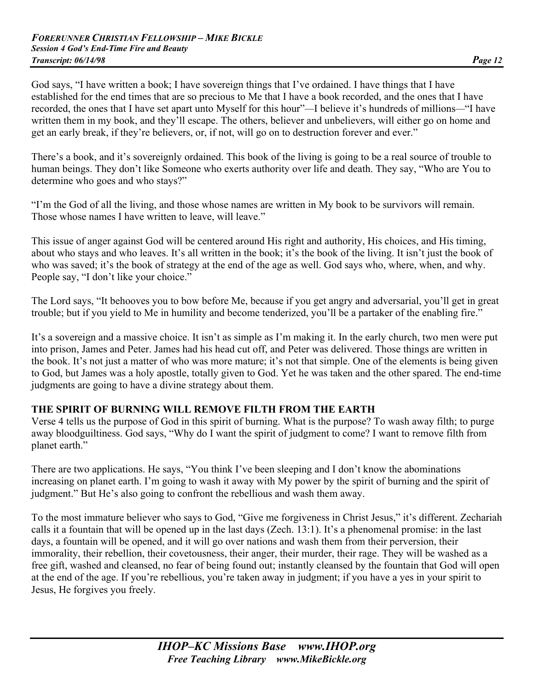God says, "I have written a book; I have sovereign things that I've ordained. I have things that I have established for the end times that are so precious to Me that I have a book recorded, and the ones that I have recorded, the ones that I have set apart unto Myself for this hour"*—*I believe it's hundreds of millions*—*"I have written them in my book, and they'll escape. The others, believer and unbelievers, will either go on home and get an early break, if they're believers, or, if not, will go on to destruction forever and ever."

There's a book, and it's sovereignly ordained. This book of the living is going to be a real source of trouble to human beings. They don't like Someone who exerts authority over life and death. They say, "Who are You to determine who goes and who stays?"

"I'm the God of all the living, and those whose names are written in My book to be survivors will remain. Those whose names I have written to leave, will leave."

This issue of anger against God will be centered around His right and authority, His choices, and His timing, about who stays and who leaves. It's all written in the book; it's the book of the living. It isn't just the book of who was saved; it's the book of strategy at the end of the age as well. God says who, where, when, and why. People say, "I don't like your choice."

The Lord says, "It behooves you to bow before Me, because if you get angry and adversarial, you'll get in great trouble; but if you yield to Me in humility and become tenderized, you'll be a partaker of the enabling fire."

It's a sovereign and a massive choice. It isn't as simple as I'm making it. In the early church, two men were put into prison, James and Peter. James had his head cut off, and Peter was delivered. Those things are written in the book. It's not just a matter of who was more mature; it's not that simple. One of the elements is being given to God, but James was a holy apostle, totally given to God. Yet he was taken and the other spared. The end-time judgments are going to have a divine strategy about them.

#### **THE SPIRIT OF BURNING WILL REMOVE FILTH FROM THE EARTH**

Verse 4 tells us the purpose of God in this spirit of burning. What is the purpose? To wash away filth; to purge away bloodguiltiness. God says, "Why do I want the spirit of judgment to come? I want to remove filth from planet earth."

There are two applications. He says, "You think I've been sleeping and I don't know the abominations increasing on planet earth. I'm going to wash it away with My power by the spirit of burning and the spirit of judgment." But He's also going to confront the rebellious and wash them away.

To the most immature believer who says to God, "Give me forgiveness in Christ Jesus," it's different. Zechariah calls it a fountain that will be opened up in the last days (Zech. 13:1). It's a phenomenal promise: in the last days, a fountain will be opened, and it will go over nations and wash them from their perversion, their immorality, their rebellion, their covetousness, their anger, their murder, their rage. They will be washed as a free gift, washed and cleansed, no fear of being found out; instantly cleansed by the fountain that God will open at the end of the age. If you're rebellious, you're taken away in judgment; if you have a yes in your spirit to Jesus, He forgives you freely.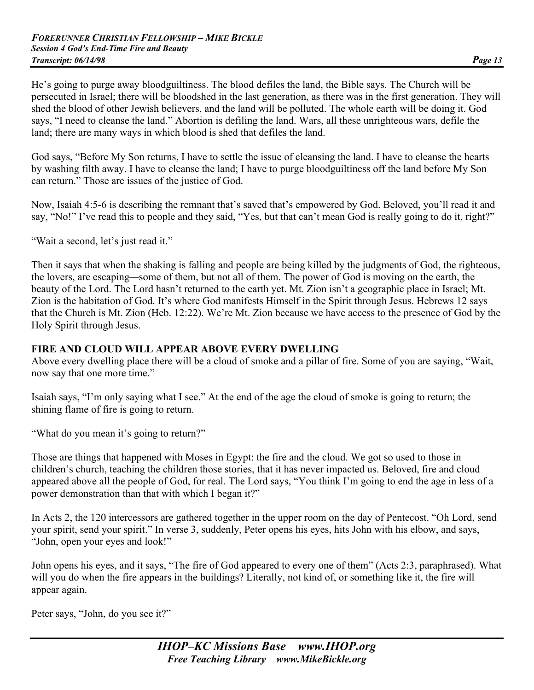He's going to purge away bloodguiltiness. The blood defiles the land, the Bible says. The Church will be persecuted in Israel; there will be bloodshed in the last generation, as there was in the first generation. They will shed the blood of other Jewish believers, and the land will be polluted. The whole earth will be doing it. God says, "I need to cleanse the land." Abortion is defiling the land. Wars, all these unrighteous wars, defile the land; there are many ways in which blood is shed that defiles the land.

God says, "Before My Son returns, I have to settle the issue of cleansing the land. I have to cleanse the hearts by washing filth away. I have to cleanse the land; I have to purge bloodguiltiness off the land before My Son can return." Those are issues of the justice of God.

Now, Isaiah 4:5-6 is describing the remnant that's saved that's empowered by God. Beloved, you'll read it and say, "No!" I've read this to people and they said, "Yes, but that can't mean God is really going to do it, right?"

"Wait a second, let's just read it."

Then it says that when the shaking is falling and people are being killed by the judgments of God, the righteous, the lovers, are escaping*—*some of them, but not all of them. The power of God is moving on the earth, the beauty of the Lord. The Lord hasn't returned to the earth yet. Mt. Zion isn't a geographic place in Israel; Mt. Zion is the habitation of God. It's where God manifests Himself in the Spirit through Jesus. Hebrews 12 says that the Church is Mt. Zion (Heb. 12:22). We're Mt. Zion because we have access to the presence of God by the Holy Spirit through Jesus.

#### **FIRE AND CLOUD WILL APPEAR ABOVE EVERY DWELLING**

Above every dwelling place there will be a cloud of smoke and a pillar of fire. Some of you are saying, "Wait, now say that one more time."

Isaiah says, "I'm only saying what I see." At the end of the age the cloud of smoke is going to return; the shining flame of fire is going to return.

"What do you mean it's going to return?"

Those are things that happened with Moses in Egypt: the fire and the cloud. We got so used to those in children's church, teaching the children those stories, that it has never impacted us. Beloved, fire and cloud appeared above all the people of God, for real. The Lord says, "You think I'm going to end the age in less of a power demonstration than that with which I began it?"

In Acts 2, the 120 intercessors are gathered together in the upper room on the day of Pentecost. "Oh Lord, send your spirit, send your spirit." In verse 3, suddenly, Peter opens his eyes, hits John with his elbow, and says, "John, open your eyes and look!"

John opens his eyes, and it says, "The fire of God appeared to every one of them" (Acts 2:3, paraphrased). What will you do when the fire appears in the buildings? Literally, not kind of, or something like it, the fire will appear again.

Peter says, "John, do you see it?"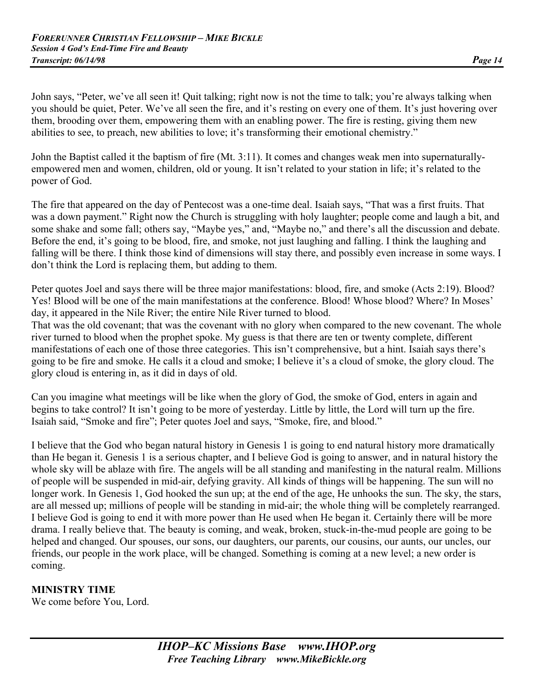John says, "Peter, we've all seen it! Quit talking; right now is not the time to talk; you're always talking when you should be quiet, Peter. We've all seen the fire, and it's resting on every one of them. It's just hovering over them, brooding over them, empowering them with an enabling power. The fire is resting, giving them new abilities to see, to preach, new abilities to love; it's transforming their emotional chemistry."

John the Baptist called it the baptism of fire (Mt. 3:11). It comes and changes weak men into supernaturallyempowered men and women, children, old or young. It isn't related to your station in life; it's related to the power of God.

The fire that appeared on the day of Pentecost was a one-time deal. Isaiah says, "That was a first fruits. That was a down payment." Right now the Church is struggling with holy laughter; people come and laugh a bit, and some shake and some fall; others say, "Maybe yes," and, "Maybe no," and there's all the discussion and debate. Before the end, it's going to be blood, fire, and smoke, not just laughing and falling. I think the laughing and falling will be there. I think those kind of dimensions will stay there, and possibly even increase in some ways. I don't think the Lord is replacing them, but adding to them.

Peter quotes Joel and says there will be three major manifestations: blood, fire, and smoke (Acts 2:19). Blood? Yes! Blood will be one of the main manifestations at the conference. Blood! Whose blood? Where? In Moses' day, it appeared in the Nile River; the entire Nile River turned to blood.

That was the old covenant; that was the covenant with no glory when compared to the new covenant. The whole river turned to blood when the prophet spoke. My guess is that there are ten or twenty complete, different manifestations of each one of those three categories. This isn't comprehensive, but a hint. Isaiah says there's going to be fire and smoke. He calls it a cloud and smoke; I believe it's a cloud of smoke, the glory cloud. The glory cloud is entering in, as it did in days of old.

Can you imagine what meetings will be like when the glory of God, the smoke of God, enters in again and begins to take control? It isn't going to be more of yesterday. Little by little, the Lord will turn up the fire. Isaiah said, "Smoke and fire"; Peter quotes Joel and says, "Smoke, fire, and blood."

I believe that the God who began natural history in Genesis 1 is going to end natural history more dramatically than He began it. Genesis 1 is a serious chapter, and I believe God is going to answer, and in natural history the whole sky will be ablaze with fire. The angels will be all standing and manifesting in the natural realm. Millions of people will be suspended in mid-air, defying gravity. All kinds of things will be happening. The sun will no longer work. In Genesis 1, God hooked the sun up; at the end of the age, He unhooks the sun. The sky, the stars, are all messed up; millions of people will be standing in mid-air; the whole thing will be completely rearranged. I believe God is going to end it with more power than He used when He began it. Certainly there will be more drama. I really believe that. The beauty is coming, and weak, broken, stuck-in-the-mud people are going to be helped and changed. Our spouses, our sons, our daughters, our parents, our cousins, our aunts, our uncles, our friends, our people in the work place, will be changed. Something is coming at a new level; a new order is coming.

## **MINISTRY TIME**

We come before You, Lord.